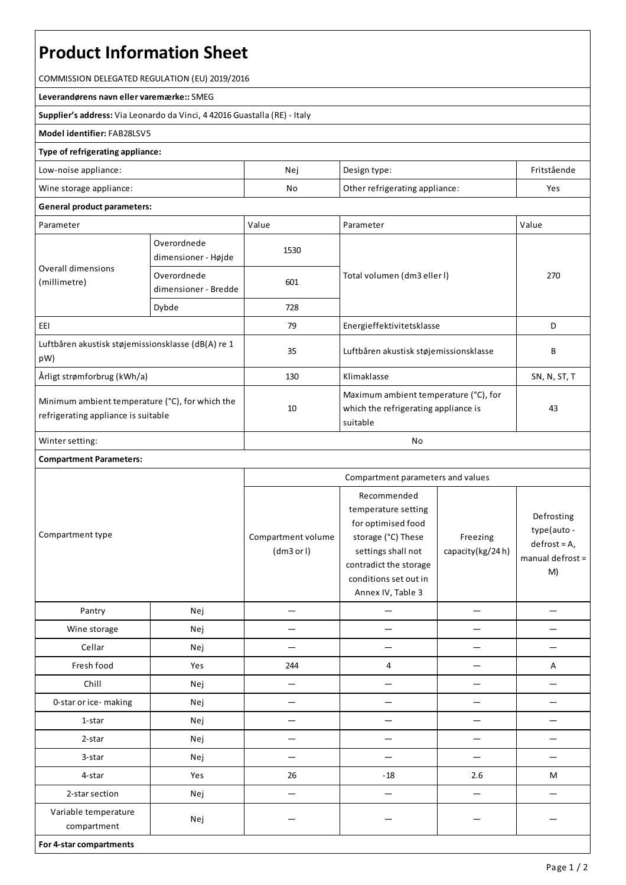# **Product Information Sheet**

COMMISSION DELEGATED REGULATION (EU) 2019/2016

**Leverandørens navn ellervaremærke::**SMEG

**Supplier's address:** ViaLeonardo da Vinci, 4 42016 Guastalla(RE) - Italy

#### **Model identifier:**FAB28LSV5

### **Type of refrigerating appliance:**

| Low-noise appliance:    | Nei                                  | Design type: | Fritstående |
|-------------------------|--------------------------------------|--------------|-------------|
| Wine storage appliance: | No<br>Other refrigerating appliance: |              | Yes         |

## **General product parameters:**

| Parameter                                                                              |                                     | Value | Parameter                                                                                 | Value        |  |
|----------------------------------------------------------------------------------------|-------------------------------------|-------|-------------------------------------------------------------------------------------------|--------------|--|
| Overall dimensions<br>(millimetre)                                                     | Overordnede<br>dimensioner - Højde  | 1530  |                                                                                           | 270          |  |
|                                                                                        | Overordnede<br>dimensioner - Bredde | 601   | Total volumen (dm3 eller I)                                                               |              |  |
|                                                                                        | Dybde                               | 728   |                                                                                           |              |  |
| EEI                                                                                    |                                     | 79    | Energieffektivitetsklasse                                                                 | D            |  |
| Luftbåren akustisk støjemissionsklasse (dB(A) re 1<br>pW)                              |                                     | 35    | Luftbåren akustisk støjemissionsklasse                                                    | B            |  |
| Årligt strømforbrug (kWh/a)                                                            |                                     | 130   | Klimaklasse                                                                               | SN, N, ST, T |  |
| Minimum ambient temperature (°C), for which the<br>refrigerating appliance is suitable |                                     | 10    | Maximum ambient temperature (°C), for<br>which the refrigerating appliance is<br>suitable | 43           |  |
| Winter setting:                                                                        |                                     | No    |                                                                                           |              |  |

#### **Compartment Parameters:**

| Compartment type                    |     | Compartment parameters and values |                                                                                                                                                                              |                              |                                                                        |
|-------------------------------------|-----|-----------------------------------|------------------------------------------------------------------------------------------------------------------------------------------------------------------------------|------------------------------|------------------------------------------------------------------------|
|                                     |     | Compartment volume<br>(dm3 or l)  | Recommended<br>temperature setting<br>for optimised food<br>storage (°C) These<br>settings shall not<br>contradict the storage<br>conditions set out in<br>Annex IV, Table 3 | Freezing<br>capacity(kg/24h) | Defrosting<br>type(auto-<br>$defrost = A,$<br>manual defrost $=$<br>M) |
| Pantry                              | Nej |                                   |                                                                                                                                                                              |                              |                                                                        |
| Wine storage                        | Nej |                                   |                                                                                                                                                                              |                              |                                                                        |
| Cellar                              | Nej |                                   |                                                                                                                                                                              |                              |                                                                        |
| Fresh food                          | Yes | 244                               | 4                                                                                                                                                                            |                              | Α                                                                      |
| Chill                               | Nej | $\overline{\phantom{0}}$          |                                                                                                                                                                              |                              |                                                                        |
| 0-star or ice-making                | Nej |                                   |                                                                                                                                                                              |                              |                                                                        |
| 1-star                              | Nej |                                   |                                                                                                                                                                              |                              |                                                                        |
| 2-star                              | Nej |                                   |                                                                                                                                                                              |                              |                                                                        |
| 3-star                              | Nej |                                   |                                                                                                                                                                              |                              |                                                                        |
| 4-star                              | Yes | 26                                | $-18$                                                                                                                                                                        | 2.6                          | M                                                                      |
| 2-star section                      | Nej |                                   |                                                                                                                                                                              |                              |                                                                        |
| Variable temperature<br>compartment | Nej |                                   |                                                                                                                                                                              |                              |                                                                        |
| For 4-star compartments             |     |                                   |                                                                                                                                                                              |                              |                                                                        |